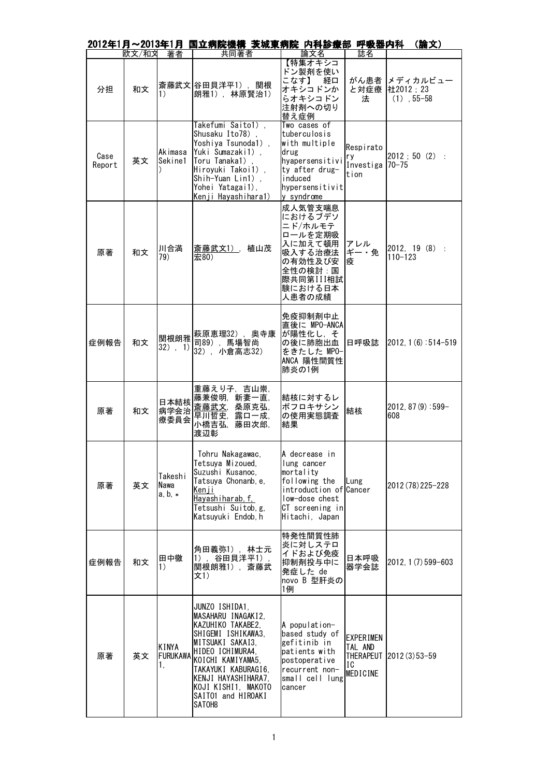|                |       |                                | 2012年1月~2013年1月 国立病院機構 茨城東病院 内科診療部 呼吸器内科                                                                                                                                                                                                          |                                                                                                                                             |                                               | (論文)                                       |
|----------------|-------|--------------------------------|---------------------------------------------------------------------------------------------------------------------------------------------------------------------------------------------------------------------------------------------------|---------------------------------------------------------------------------------------------------------------------------------------------|-----------------------------------------------|--------------------------------------------|
|                | 欧文/和文 | 著者                             | 共同著者                                                                                                                                                                                                                                              | 論文名                                                                                                                                         | 誌名                                            |                                            |
| 分担             | 和文    | 1)                             | 斎藤武文 谷田貝洋平1), 関根<br>朗雅1), 林原賢治1)                                                                                                                                                                                                                  | 【特集オキシコ<br>ドン製剤を使い<br>こなす】<br>経口<br>オキシコドンか<br>らオキシコドン<br>注射剤への切り<br>替え症例                                                                   | と対症療<br>法                                     | がん患者 メディカルビュー<br>社2012;23<br>$(1)$ , 55-58 |
| Case<br>Report | 英文    | Akimasa<br>Sekine1             | Takefumi Saito1),<br>Shusaku Ito78),<br>Yoshiya Tsunoda1),<br>Yuki Sumazaki1),<br>Toru Tanaka1)<br>Hiroyuki Takoi1),<br>Shih-Yuan Lin1),<br>Yohei Yatagai1),<br>Kenji Hayashihara1)                                                               | Two cases of<br>tuberculosis<br>with multiple<br>drug<br>hyapersensitivi<br>ty after drug-<br>induced<br>hypersensitivit<br>y syndrome      | Respirato<br>ry<br>Investiga 70-75<br>tion    | 2012 ; 50 (2) :                            |
| 原著             | 和文    | 川合満<br>79)                     | 斎藤武文1), 植山茂<br>宏80)                                                                                                                                                                                                                               | 成人気管支喘息<br>におけるブデソ<br>ニド/ホルモテ<br>ロールを定期吸<br>入に加えて頓用<br>吸入する治療法<br>の有効性及び安<br>全性の検討:国<br>際共同第III相試<br>験における日本<br>人患者の成績                      | アレル<br>ギー・免<br>疫                              | 2012, 19 (8) :<br>$110 - 123$              |
| 症例報告           | 和文    | 関根朗雅<br>$32)$ , 1)             | 萩原恵理32), 奥寺康<br>司89), 馬場智尚<br>32), 小倉高志32)                                                                                                                                                                                                        | 免疫抑制剤中止<br>直後に MPO-ANCA<br>が陽性化し, そ<br>の後に肺胞出血<br>をきたした MPO-<br>ANCA 陽性間質性<br>肺炎の1例                                                         | 日呼吸誌                                          | $ 2012, 1(6):514-519$                      |
| 原著             | 和文    | 日本結核<br>病学会治<br>療委員会           | 重藤えり子,吉山崇,<br>藤兼俊明, 新妻一直,<br>斎藤武文,桑原克弘,<br>露口一成,<br>早川哲史,<br>小橋吉弘,<br>藤田次郎.<br>渡辺彰                                                                                                                                                                | 結核に対するレ<br>ボフロキサシン<br>の使用実態調査<br>結果                                                                                                         | 結核                                            | $2012, 87(9):599-$<br>608                  |
| 原著             | 英文    | Takeshi<br>Nawa<br>$a, b, *$   | Tohru Nakagawac,<br>Tetsuya Mizoued,<br>Suzushi Kusanoc,<br>Tatsuya Chonanb, e,<br><u>Kenji</u><br><u>Hayashiharab, f, </u><br>Tetsushi Suitob, g,<br>Katsuyuki Endob, h                                                                          | A decrease in<br>lung cancer<br>mortality<br>following the<br>introduction of Cancer<br>low-dose chest<br>CT screening in<br>Hitachi, Japan | Lung                                          | 2012 (78) 225-228                          |
| 症例報告           | 和文    | 田中徹<br>$\left( \right)$        | 角田義弥1),林士元<br>1),谷田貝洋平1)<br>関根朗雅1), 斎藤武<br>文1)                                                                                                                                                                                                    | 特発性間質性肺<br>炎に対しステロ<br>イドおよび免疫<br>抑制剤投与中に<br>発症した de<br>novo B 型肝炎の<br>1例                                                                    | 日本呼吸<br>器学会誌                                  | 2012, 1 (7) 599-603                        |
| 原著             | 英文    | KINYA<br><b>FURUKAWA</b><br>1. | JUNZO ISHIDA1,<br>MASAHARU INAGAKI2,<br>KAZUHIKO TAKABE2,<br>SHIGEMI ISHIKAWA3.<br>MITSUAKI SAKAI3,<br>HIDEO ICHIMURA4,<br>KOICHI KAMIYAMA5,<br>TAKAYUKI KABURAGI6,<br>KENJI HAYASHIHARA7,<br>KOJI KISHI1, MAKOTO<br>SAIT01 and HIROAKI<br>SATOH8 | A population-<br>based study of<br>gefitinib in<br>patients with<br>postoperative<br>recurrent non-<br>small cell lung<br>cancer            | <b>EXPERIMEN</b><br>TAL AND<br>IC<br>MEDICINE | THERAPEUT   2012 (3) 53-59                 |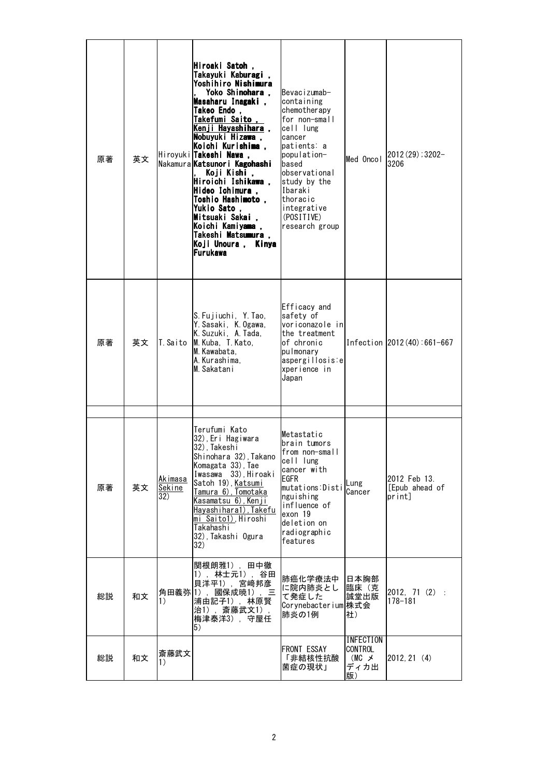| 原著 | 英文 |                          | Hiroaki Satoh ,<br>Takayuki Kaburagi,<br>Yoshihiro Nishimura<br>Yoko Shinohara,<br>Masaharu Inagaki,<br><b>Takeo Endo</b><br>Takefumi Saito,<br>Kenji Hayashihara,<br>Nobuyuki Hizawa,<br> Koichi Kurishima .<br>Hiroyuki Takeshi Nawa,<br>Nakamura Katsunori Kagohashi<br>Koji Kishi ,<br>Hiroichi Ishikawa ,<br>Hideo Ichimura ,<br>Toshio Hashimoto,<br><b>Yukio Sato</b><br>Mitsuaki Sakai,<br>Koichi Kamiyama ,<br>Takeshi Matsumura,<br>Koji Unoura ,<br>Kinva<br><b>Furukawa</b> | Bevacizumab-<br>containing<br>chemotherapy<br>for non-small<br>cell lung<br>cancer<br>patients: a<br>population-<br>based<br>observational<br>study by the<br>Ibaraki<br>thoracic<br>integrative<br>(POSITIVE)<br>research group | Med Oncol                                                        | $2012(29)$ ; 3202-<br>3206               |
|----|----|--------------------------|-----------------------------------------------------------------------------------------------------------------------------------------------------------------------------------------------------------------------------------------------------------------------------------------------------------------------------------------------------------------------------------------------------------------------------------------------------------------------------------------|----------------------------------------------------------------------------------------------------------------------------------------------------------------------------------------------------------------------------------|------------------------------------------------------------------|------------------------------------------|
| 原著 | 英文 | T. Saito                 | S. Fujiuchi, Y. Tao,<br>Y. Sasaki, K. Ogawa,<br>K. Suzuki, A. Tada,<br>M. Kuba, T. Kato,<br>M. Kawabata.<br>A.Kurashima,<br>M. Sakatani                                                                                                                                                                                                                                                                                                                                                 | Efficacy and<br>safety of<br>voriconazole in<br>the treatment<br>of chronic<br>pulmonary<br>aspergillosis:e<br>xperience in<br>Japan                                                                                             |                                                                  | Infection 2012 (40): 661-667             |
| 原著 | 英文 | Akimasa<br>Sekine<br>32) | Terufumi Kato<br>32), Eri Hagiwara<br>32), Takeshi<br>Shinohara 32), Takano<br>Komagata 33), Tae<br>Iwasawa 33), Hiroaki<br>Satoh 19), Katsumi<br>Tamura 6), Tomotaka<br>Kasamatsu 6), Kenji<br><u>Hayashihara1), Takefu</u><br>mi Saito1), Hiroshi<br>Takahashi<br>32), Takashi Ogura<br>32)                                                                                                                                                                                           | Metastatic<br>brain tumors<br>from non-small<br>cell lung<br>cancer with<br>EGFR<br>mutations:Disti<br>nguishing<br>influence of<br>exon 19<br>deletion on<br>radiographic<br>features                                           | Lung<br>Cancer                                                   | 2012 Feb 13.<br>[Epub ahead of<br>print] |
| 総説 | 和文 | 1)                       | 関根朗雅1), 田中徹<br>1), 林士元1),<br>谷田<br>貝洋平1), 宮﨑邦彦<br>角田義弥 1), 國保成暁1), 三<br>浦由記子1),林原賢<br>治1), 斎藤武文1),<br>梅津泰洋3), 守屋任<br>5)                                                                                                                                                                                                                                                                                                                                                                 | 肺癌化学療法中<br>に院内肺炎とし<br>て発症した<br>Corynebacterium 株式会<br>肺炎の1例                                                                                                                                                                      | 日本胸部<br>臨床(克<br>誠堂出版<br>社)                                       | $2012, 71(2)$ :<br>178-181               |
| 総説 | 和文 | 斎藤武文<br>1)               |                                                                                                                                                                                                                                                                                                                                                                                                                                                                                         | <b>FRONT ESSAY</b><br>「非結核性抗酸<br>菌症の現状」                                                                                                                                                                                          | <b>INFECTION</b><br><b>CONTROL</b><br>$(MC \times$<br>ディカ出<br>版) | 2012, 21(4)                              |